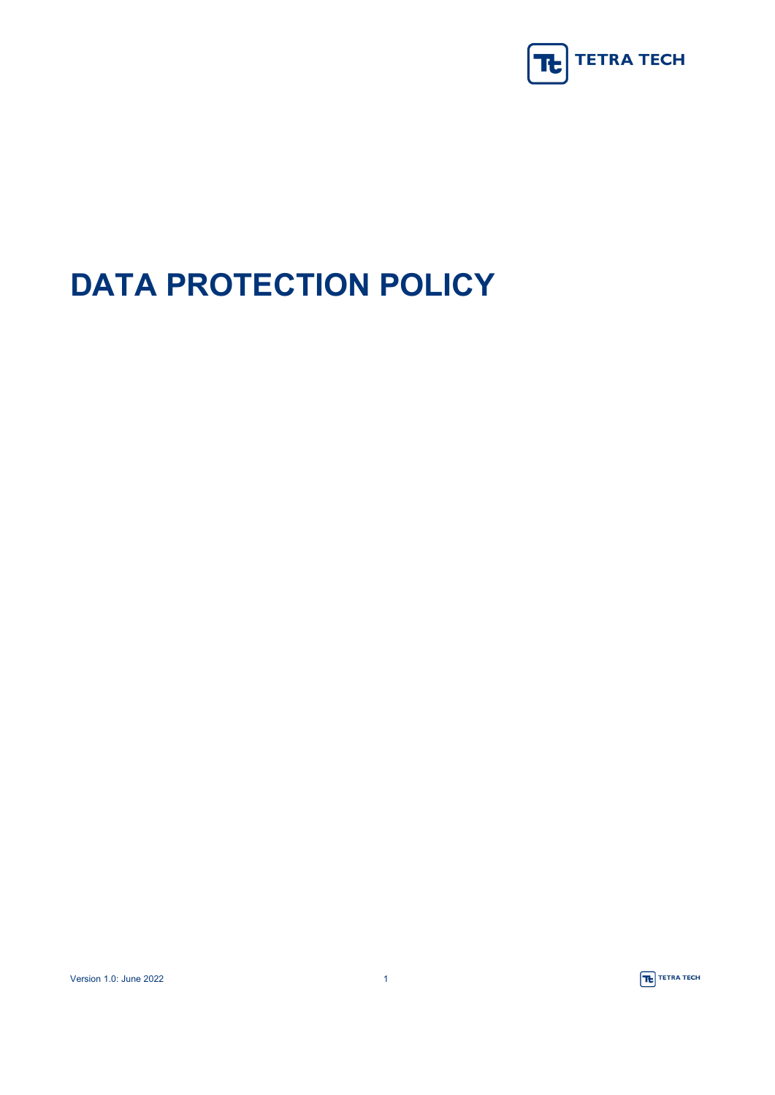

# **DATA PROTECTION POLICY**

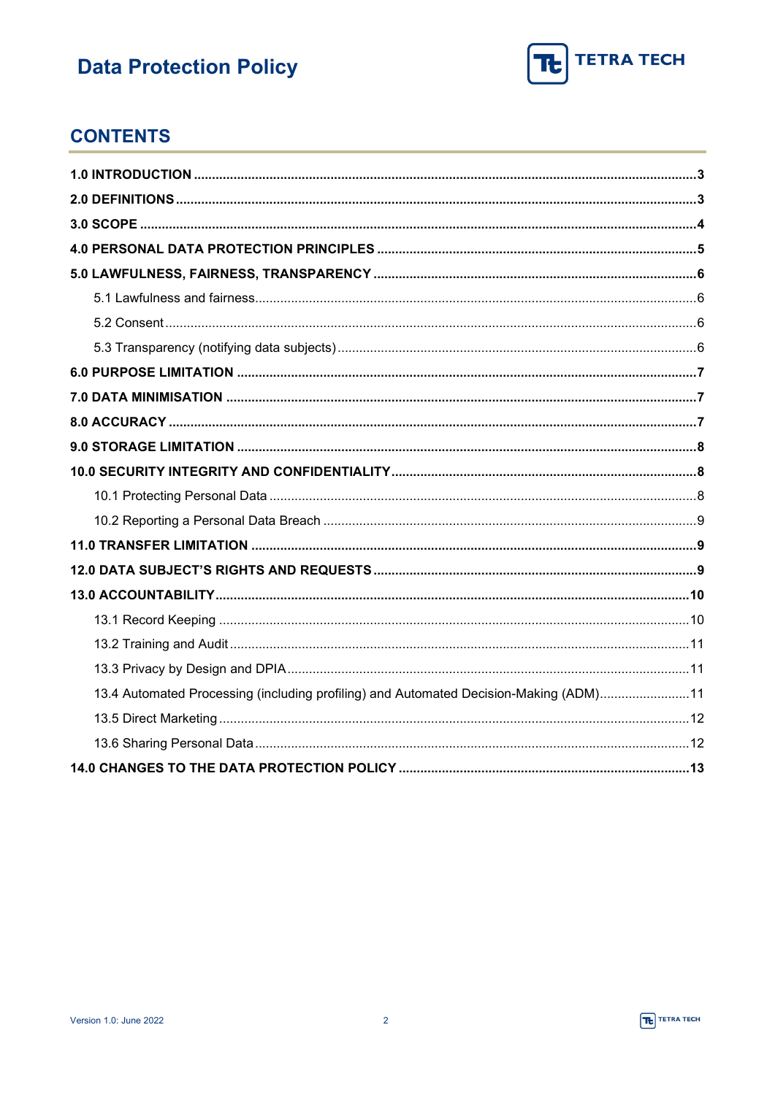

### **CONTENTS**

| 13.4 Automated Processing (including profiling) and Automated Decision-Making (ADM)11 |  |
|---------------------------------------------------------------------------------------|--|
|                                                                                       |  |
|                                                                                       |  |
|                                                                                       |  |

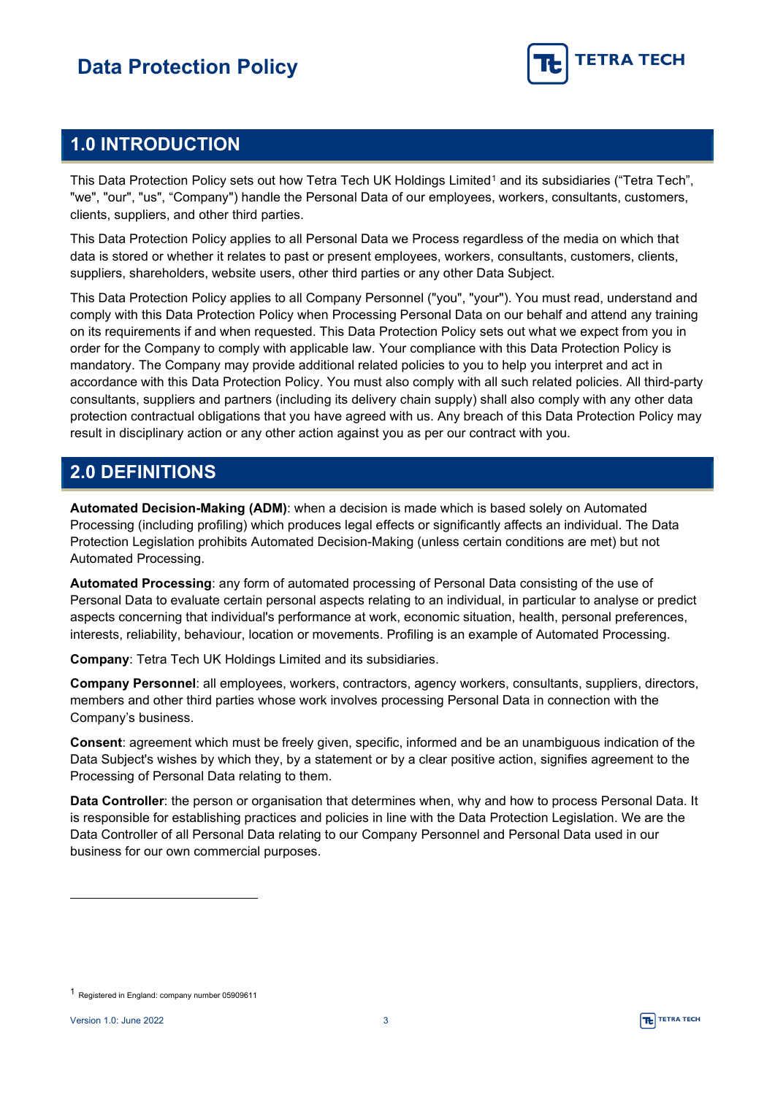

### <span id="page-2-0"></span>**1.0 INTRODUCTION**

This Data Protection Policy sets out how Tetra Tech UK Holdings Limited<sup>[1](#page-2-2)</sup> and its subsidiaries ("Tetra Tech", "we", "our", "us", "Company") handle the Personal Data of our employees, workers, consultants, customers, clients, suppliers, and other third parties.

This Data Protection Policy applies to all Personal Data we Process regardless of the media on which that data is stored or whether it relates to past or present employees, workers, consultants, customers, clients, suppliers, shareholders, website users, other third parties or any other Data Subject.

This Data Protection Policy applies to all Company Personnel ("you", "your"). You must read, understand and comply with this Data Protection Policy when Processing Personal Data on our behalf and attend any training on its requirements if and when requested. This Data Protection Policy sets out what we expect from you in order for the Company to comply with applicable law. Your compliance with this Data Protection Policy is mandatory. The Company may provide additional related policies to you to help you interpret and act in accordance with this Data Protection Policy. You must also comply with all such related policies. All third-party consultants, suppliers and partners (including its delivery chain supply) shall also comply with any other data protection contractual obligations that you have agreed with us. Any breach of this Data Protection Policy may result in disciplinary action or any other action against you as per our contract with you.

### <span id="page-2-1"></span>**2.0 DEFINITIONS**

**Automated Decision-Making (ADM)**: when a decision is made which is based solely on Automated Processing (including profiling) which produces legal effects or significantly affects an individual. The Data Protection Legislation prohibits Automated Decision-Making (unless certain conditions are met) but not Automated Processing.

**Automated Processing**: any form of automated processing of Personal Data consisting of the use of Personal Data to evaluate certain personal aspects relating to an individual, in particular to analyse or predict aspects concerning that individual's performance at work, economic situation, health, personal preferences, interests, reliability, behaviour, location or movements. Profiling is an example of Automated Processing.

**Company**: Tetra Tech UK Holdings Limited and its subsidiaries.

**Company Personnel**: all employees, workers, contractors, agency workers, consultants, suppliers, directors, members and other third parties whose work involves processing Personal Data in connection with the Company's business.

**Consent**: agreement which must be freely given, specific, informed and be an unambiguous indication of the Data Subject's wishes by which they, by a statement or by a clear positive action, signifies agreement to the Processing of Personal Data relating to them.

**Data Controller**: the person or organisation that determines when, why and how to process Personal Data. It is responsible for establishing practices and policies in line with the Data Protection Legislation. We are the Data Controller of all Personal Data relating to our Company Personnel and Personal Data used in our business for our own commercial purposes.

<span id="page-2-2"></span><sup>1</sup> Registered in England: company number 05909611

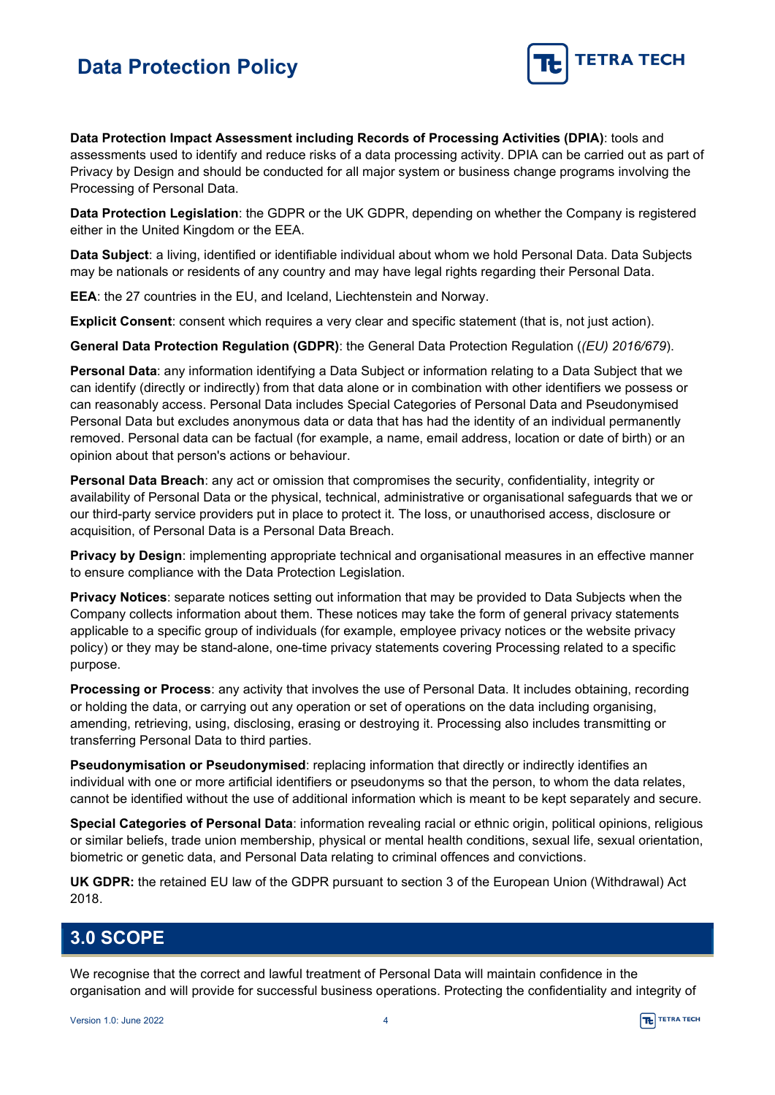

**Data Protection Impact Assessment including Records of Processing Activities (DPIA)**: tools and assessments used to identify and reduce risks of a data processing activity. DPIA can be carried out as part of Privacy by Design and should be conducted for all major system or business change programs involving the Processing of Personal Data.

**Data Protection Legislation**: the GDPR or the UK GDPR, depending on whether the Company is registered either in the United Kingdom or the EEA.

**Data Subject**: a living, identified or identifiable individual about whom we hold Personal Data. Data Subjects may be nationals or residents of any country and may have legal rights regarding their Personal Data.

**EEA**: the 27 countries in the EU, and Iceland, Liechtenstein and Norway.

**Explicit Consent**: consent which requires a very clear and specific statement (that is, not just action).

**General Data Protection Regulation (GDPR)**: the General Data Protection Regulation (*(EU) 2016/679*).

**Personal Data**: any information identifying a Data Subject or information relating to a Data Subject that we can identify (directly or indirectly) from that data alone or in combination with other identifiers we possess or can reasonably access. Personal Data includes Special Categories of Personal Data and Pseudonymised Personal Data but excludes anonymous data or data that has had the identity of an individual permanently removed. Personal data can be factual (for example, a name, email address, location or date of birth) or an opinion about that person's actions or behaviour.

**Personal Data Breach**: any act or omission that compromises the security, confidentiality, integrity or availability of Personal Data or the physical, technical, administrative or organisational safeguards that we or our third-party service providers put in place to protect it. The loss, or unauthorised access, disclosure or acquisition, of Personal Data is a Personal Data Breach.

**Privacy by Design**: implementing appropriate technical and organisational measures in an effective manner to ensure compliance with the Data Protection Legislation.

**Privacy Notices**: separate notices setting out information that may be provided to Data Subjects when the Company collects information about them. These notices may take the form of general privacy statements applicable to a specific group of individuals (for example, employee privacy notices or the website privacy policy) or they may be stand-alone, one-time privacy statements covering Processing related to a specific purpose.

**Processing or Process**: any activity that involves the use of Personal Data. It includes obtaining, recording or holding the data, or carrying out any operation or set of operations on the data including organising, amending, retrieving, using, disclosing, erasing or destroying it. Processing also includes transmitting or transferring Personal Data to third parties.

**Pseudonymisation or Pseudonymised:** replacing information that directly or indirectly identifies an individual with one or more artificial identifiers or pseudonyms so that the person, to whom the data relates, cannot be identified without the use of additional information which is meant to be kept separately and secure.

**Special Categories of Personal Data**: information revealing racial or ethnic origin, political opinions, religious or similar beliefs, trade union membership, physical or mental health conditions, sexual life, sexual orientation, biometric or genetic data, and Personal Data relating to criminal offences and convictions.

**UK GDPR:** the retained EU law of the GDPR pursuant to section 3 of the European Union (Withdrawal) Act 2018.

#### <span id="page-3-0"></span>**3.0 SCOPE**

We recognise that the correct and lawful treatment of Personal Data will maintain confidence in the organisation and will provide for successful business operations. Protecting the confidentiality and integrity of

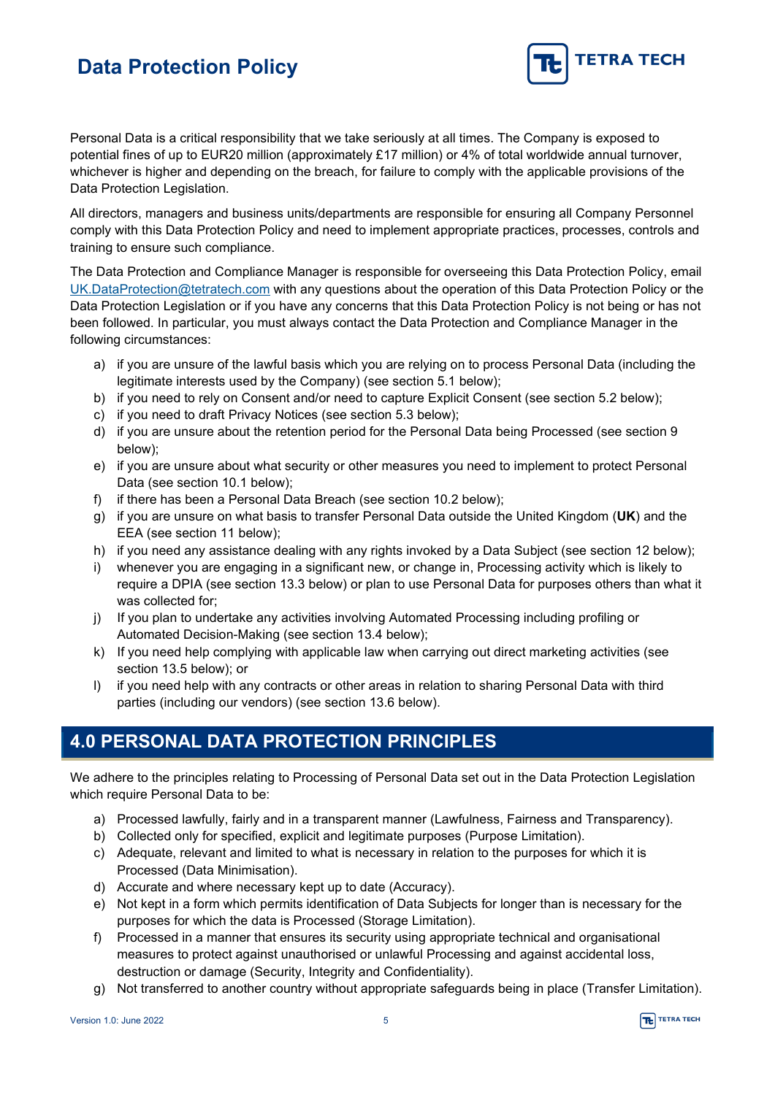

Personal Data is a critical responsibility that we take seriously at all times. The Company is exposed to potential fines of up to EUR20 million (approximately £17 million) or 4% of total worldwide annual turnover, whichever is higher and depending on the breach, for failure to comply with the applicable provisions of the Data Protection Legislation.

All directors, managers and business units/departments are responsible for ensuring all Company Personnel comply with this Data Protection Policy and need to implement appropriate practices, processes, controls and training to ensure such compliance.

The Data Protection and Compliance Manager is responsible for overseeing this Data Protection Policy, email [UK.DataProtection@tetratech.com](mailto:UK.DataProtection@tetratech.com) with any questions about the operation of this Data Protection Policy or the Data Protection Legislation or if you have any concerns that this Data Protection Policy is not being or has not been followed. In particular, you must always contact the Data Protection and Compliance Manager in the following circumstances:

- a) if you are unsure of the lawful basis which you are relying on to process Personal Data (including the legitimate interests used by the Company) (see section 5.1 below);
- b) if you need to rely on Consent and/or need to capture Explicit Consent (see section 5.2 below);
- c) if you need to draft Privacy Notices (see section 5.3 below);
- d) if you are unsure about the retention period for the Personal Data being Processed (see section 9 below);
- e) if you are unsure about what security or other measures you need to implement to protect Personal Data (see section 10.1 below);
- f) if there has been a Personal Data Breach (see section 10.2 below);
- g) if you are unsure on what basis to transfer Personal Data outside the United Kingdom (**UK**) and the EEA (see section 11 below);
- h) if you need any assistance dealing with any rights invoked by a Data Subject (see section 12 below);
- i) whenever you are engaging in a significant new, or change in, Processing activity which is likely to require a DPIA (see section 13.3 below) or plan to use Personal Data for purposes others than what it was collected for;
- j) If you plan to undertake any activities involving Automated Processing including profiling or Automated Decision-Making (see section 13.4 below);
- k) If you need help complying with applicable law when carrying out direct marketing activities (see section 13.5 below); or
- l) if you need help with any contracts or other areas in relation to sharing Personal Data with third parties (including our vendors) (see section 13.6 below).

### <span id="page-4-0"></span>**4.0 PERSONAL DATA PROTECTION PRINCIPLES**

We adhere to the principles relating to Processing of Personal Data set out in the Data Protection Legislation which require Personal Data to be:

- a) Processed lawfully, fairly and in a transparent manner (Lawfulness, Fairness and Transparency).
- b) Collected only for specified, explicit and legitimate purposes (Purpose Limitation).
- c) Adequate, relevant and limited to what is necessary in relation to the purposes for which it is Processed (Data Minimisation).
- d) Accurate and where necessary kept up to date (Accuracy).
- e) Not kept in a form which permits identification of Data Subjects for longer than is necessary for the purposes for which the data is Processed (Storage Limitation).
- f) Processed in a manner that ensures its security using appropriate technical and organisational measures to protect against unauthorised or unlawful Processing and against accidental loss, destruction or damage (Security, Integrity and Confidentiality).
- g) Not transferred to another country without appropriate safeguards being in place (Transfer Limitation).

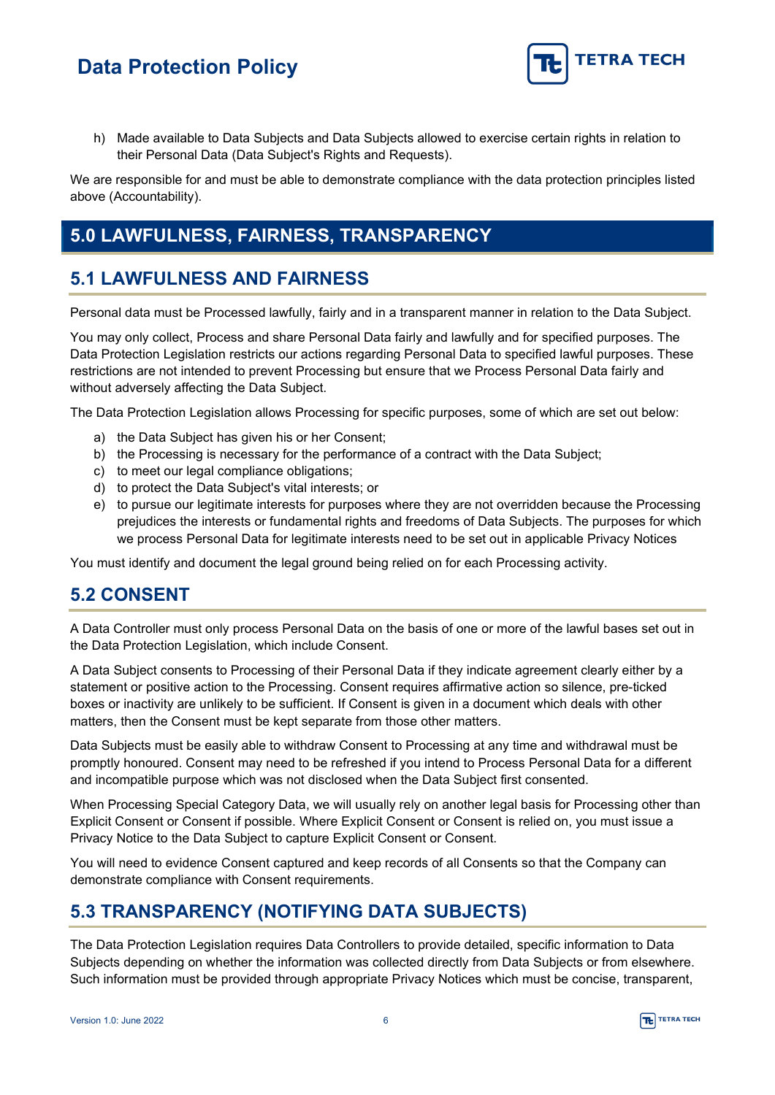

h) Made available to Data Subjects and Data Subjects allowed to exercise certain rights in relation to their Personal Data (Data Subject's Rights and Requests).

We are responsible for and must be able to demonstrate compliance with the data protection principles listed above (Accountability).

### <span id="page-5-0"></span>**5.0 LAWFULNESS, FAIRNESS, TRANSPARENCY**

### <span id="page-5-1"></span>**5.1 LAWFULNESS AND FAIRNESS**

Personal data must be Processed lawfully, fairly and in a transparent manner in relation to the Data Subject.

You may only collect, Process and share Personal Data fairly and lawfully and for specified purposes. The Data Protection Legislation restricts our actions regarding Personal Data to specified lawful purposes. These restrictions are not intended to prevent Processing but ensure that we Process Personal Data fairly and without adversely affecting the Data Subject.

The Data Protection Legislation allows Processing for specific purposes, some of which are set out below:

- a) the Data Subject has given his or her Consent;
- b) the Processing is necessary for the performance of a contract with the Data Subject;
- c) to meet our legal compliance obligations;
- d) to protect the Data Subject's vital interests; or
- e) to pursue our legitimate interests for purposes where they are not overridden because the Processing prejudices the interests or fundamental rights and freedoms of Data Subjects. The purposes for which we process Personal Data for legitimate interests need to be set out in applicable Privacy Notices

You must identify and document the legal ground being relied on for each Processing activity.

#### <span id="page-5-2"></span>**5.2 CONSENT**

A Data Controller must only process Personal Data on the basis of one or more of the lawful bases set out in the Data Protection Legislation, which include Consent.

A Data Subject consents to Processing of their Personal Data if they indicate agreement clearly either by a statement or positive action to the Processing. Consent requires affirmative action so silence, pre-ticked boxes or inactivity are unlikely to be sufficient. If Consent is given in a document which deals with other matters, then the Consent must be kept separate from those other matters.

Data Subjects must be easily able to withdraw Consent to Processing at any time and withdrawal must be promptly honoured. Consent may need to be refreshed if you intend to Process Personal Data for a different and incompatible purpose which was not disclosed when the Data Subject first consented.

When Processing Special Category Data, we will usually rely on another legal basis for Processing other than Explicit Consent or Consent if possible. Where Explicit Consent or Consent is relied on, you must issue a Privacy Notice to the Data Subject to capture Explicit Consent or Consent.

You will need to evidence Consent captured and keep records of all Consents so that the Company can demonstrate compliance with Consent requirements.

### <span id="page-5-3"></span>**5.3 TRANSPARENCY (NOTIFYING DATA SUBJECTS)**

The Data Protection Legislation requires Data Controllers to provide detailed, specific information to Data Subjects depending on whether the information was collected directly from Data Subjects or from elsewhere. Such information must be provided through appropriate Privacy Notices which must be concise, transparent,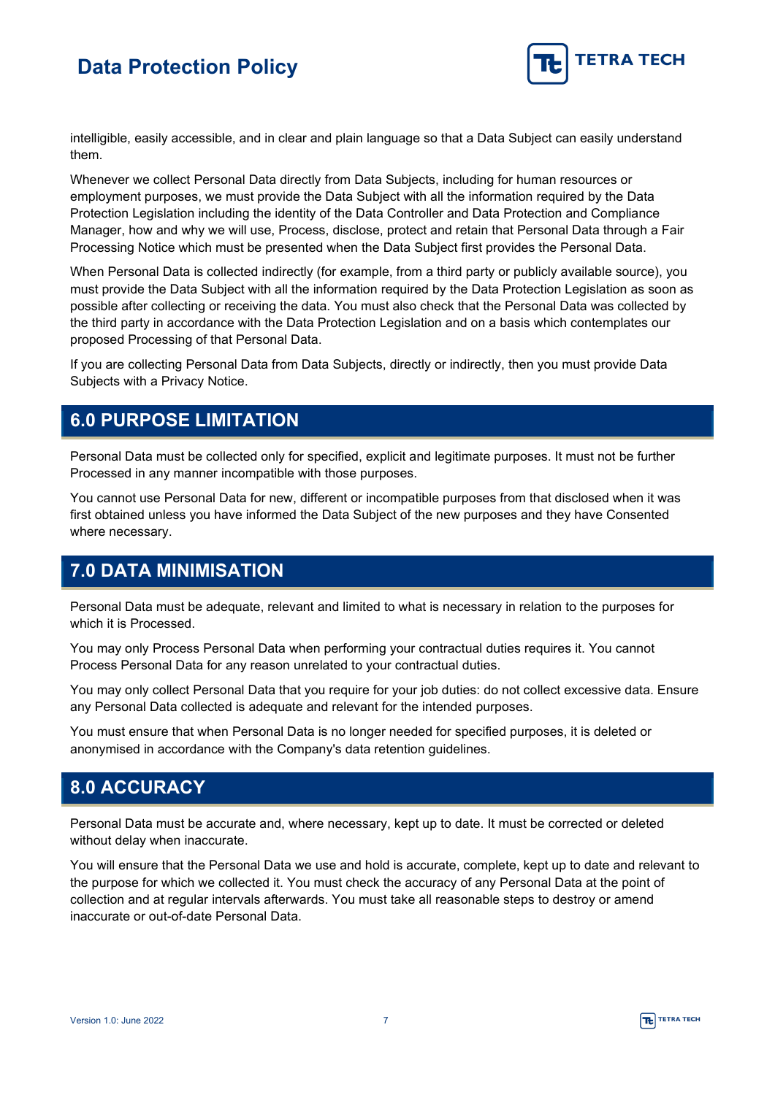

intelligible, easily accessible, and in clear and plain language so that a Data Subject can easily understand them.

Whenever we collect Personal Data directly from Data Subjects, including for human resources or employment purposes, we must provide the Data Subject with all the information required by the Data Protection Legislation including the identity of the Data Controller and Data Protection and Compliance Manager, how and why we will use, Process, disclose, protect and retain that Personal Data through a Fair Processing Notice which must be presented when the Data Subject first provides the Personal Data.

When Personal Data is collected indirectly (for example, from a third party or publicly available source), you must provide the Data Subject with all the information required by the Data Protection Legislation as soon as possible after collecting or receiving the data. You must also check that the Personal Data was collected by the third party in accordance with the Data Protection Legislation and on a basis which contemplates our proposed Processing of that Personal Data.

If you are collecting Personal Data from Data Subjects, directly or indirectly, then you must provide Data Subjects with a Privacy Notice.

### <span id="page-6-0"></span>**6.0 PURPOSE LIMITATION**

Personal Data must be collected only for specified, explicit and legitimate purposes. It must not be further Processed in any manner incompatible with those purposes.

You cannot use Personal Data for new, different or incompatible purposes from that disclosed when it was first obtained unless you have informed the Data Subject of the new purposes and they have Consented where necessary.

### <span id="page-6-1"></span>**7.0 DATA MINIMISATION**

Personal Data must be adequate, relevant and limited to what is necessary in relation to the purposes for which it is Processed.

You may only Process Personal Data when performing your contractual duties requires it. You cannot Process Personal Data for any reason unrelated to your contractual duties.

You may only collect Personal Data that you require for your job duties: do not collect excessive data. Ensure any Personal Data collected is adequate and relevant for the intended purposes.

You must ensure that when Personal Data is no longer needed for specified purposes, it is deleted or anonymised in accordance with the Company's data retention guidelines.

#### <span id="page-6-2"></span>**8.0 ACCURACY**

Personal Data must be accurate and, where necessary, kept up to date. It must be corrected or deleted without delay when inaccurate.

You will ensure that the Personal Data we use and hold is accurate, complete, kept up to date and relevant to the purpose for which we collected it. You must check the accuracy of any Personal Data at the point of collection and at regular intervals afterwards. You must take all reasonable steps to destroy or amend inaccurate or out-of-date Personal Data.

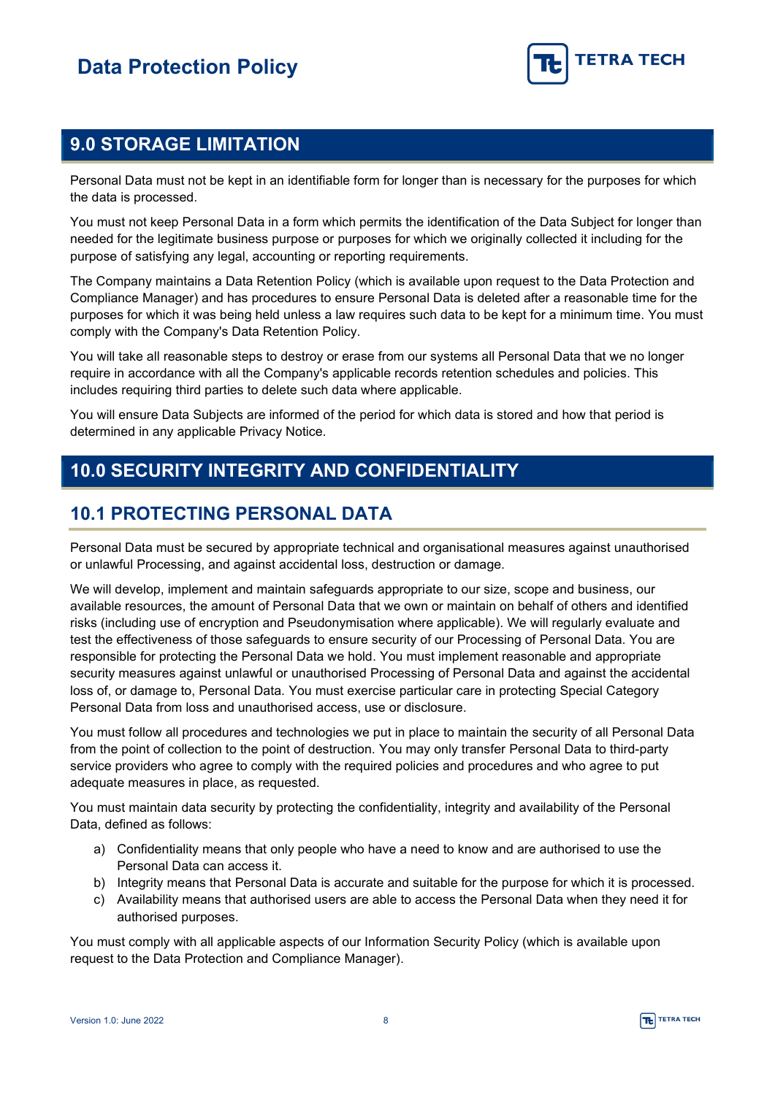

### <span id="page-7-0"></span>**9.0 STORAGE LIMITATION**

Personal Data must not be kept in an identifiable form for longer than is necessary for the purposes for which the data is processed.

You must not keep Personal Data in a form which permits the identification of the Data Subject for longer than needed for the legitimate business purpose or purposes for which we originally collected it including for the purpose of satisfying any legal, accounting or reporting requirements.

The Company maintains a Data Retention Policy (which is available upon request to the Data Protection and Compliance Manager) and has procedures to ensure Personal Data is deleted after a reasonable time for the purposes for which it was being held unless a law requires such data to be kept for a minimum time. You must comply with the Company's Data Retention Policy.

You will take all reasonable steps to destroy or erase from our systems all Personal Data that we no longer require in accordance with all the Company's applicable records retention schedules and policies. This includes requiring third parties to delete such data where applicable.

You will ensure Data Subjects are informed of the period for which data is stored and how that period is determined in any applicable Privacy Notice.

### <span id="page-7-1"></span>**10.0 SECURITY INTEGRITY AND CONFIDENTIALITY**

### <span id="page-7-2"></span>**10.1 PROTECTING PERSONAL DATA**

Personal Data must be secured by appropriate technical and organisational measures against unauthorised or unlawful Processing, and against accidental loss, destruction or damage.

We will develop, implement and maintain safeguards appropriate to our size, scope and business, our available resources, the amount of Personal Data that we own or maintain on behalf of others and identified risks (including use of encryption and Pseudonymisation where applicable). We will regularly evaluate and test the effectiveness of those safeguards to ensure security of our Processing of Personal Data. You are responsible for protecting the Personal Data we hold. You must implement reasonable and appropriate security measures against unlawful or unauthorised Processing of Personal Data and against the accidental loss of, or damage to, Personal Data. You must exercise particular care in protecting Special Category Personal Data from loss and unauthorised access, use or disclosure.

You must follow all procedures and technologies we put in place to maintain the security of all Personal Data from the point of collection to the point of destruction. You may only transfer Personal Data to third-party service providers who agree to comply with the required policies and procedures and who agree to put adequate measures in place, as requested.

You must maintain data security by protecting the confidentiality, integrity and availability of the Personal Data, defined as follows:

- a) Confidentiality means that only people who have a need to know and are authorised to use the Personal Data can access it.
- b) Integrity means that Personal Data is accurate and suitable for the purpose for which it is processed.
- c) Availability means that authorised users are able to access the Personal Data when they need it for authorised purposes.

You must comply with all applicable aspects of our Information Security Policy (which is available upon request to the Data Protection and Compliance Manager).

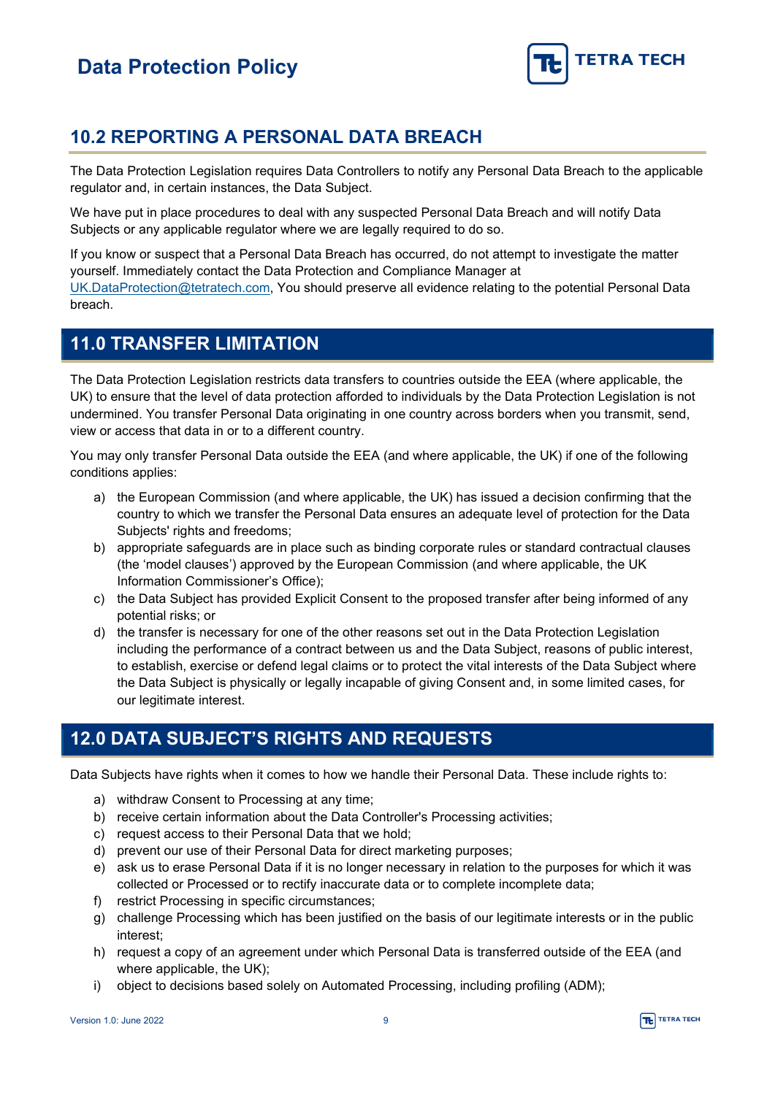

### <span id="page-8-0"></span>**10.2 REPORTING A PERSONAL DATA BREACH**

The Data Protection Legislation requires Data Controllers to notify any Personal Data Breach to the applicable regulator and, in certain instances, the Data Subject.

We have put in place procedures to deal with any suspected Personal Data Breach and will notify Data Subjects or any applicable regulator where we are legally required to do so.

If you know or suspect that a Personal Data Breach has occurred, do not attempt to investigate the matter yourself. Immediately contact the Data Protection and Compliance Manager at [UK.DataProtection@tetratech.com,](mailto:UK.DataProtection@tetratech.com) You should preserve all evidence relating to the potential Personal Data breach.

### <span id="page-8-1"></span>**11.0 TRANSFER LIMITATION**

The Data Protection Legislation restricts data transfers to countries outside the EEA (where applicable, the UK) to ensure that the level of data protection afforded to individuals by the Data Protection Legislation is not undermined. You transfer Personal Data originating in one country across borders when you transmit, send, view or access that data in or to a different country.

You may only transfer Personal Data outside the EEA (and where applicable, the UK) if one of the following conditions applies:

- a) the European Commission (and where applicable, the UK) has issued a decision confirming that the country to which we transfer the Personal Data ensures an adequate level of protection for the Data Subjects' rights and freedoms;
- b) appropriate safeguards are in place such as binding corporate rules or standard contractual clauses (the 'model clauses') approved by the European Commission (and where applicable, the UK Information Commissioner's Office);
- c) the Data Subject has provided Explicit Consent to the proposed transfer after being informed of any potential risks; or
- d) the transfer is necessary for one of the other reasons set out in the Data Protection Legislation including the performance of a contract between us and the Data Subject, reasons of public interest, to establish, exercise or defend legal claims or to protect the vital interests of the Data Subject where the Data Subject is physically or legally incapable of giving Consent and, in some limited cases, for our legitimate interest.

### <span id="page-8-2"></span>**12.0 DATA SUBJECT'S RIGHTS AND REQUESTS**

Data Subjects have rights when it comes to how we handle their Personal Data. These include rights to:

- a) withdraw Consent to Processing at any time;
- b) receive certain information about the Data Controller's Processing activities;
- c) request access to their Personal Data that we hold;
- d) prevent our use of their Personal Data for direct marketing purposes;
- e) ask us to erase Personal Data if it is no longer necessary in relation to the purposes for which it was collected or Processed or to rectify inaccurate data or to complete incomplete data;
- f) restrict Processing in specific circumstances;
- g) challenge Processing which has been justified on the basis of our legitimate interests or in the public interest;
- h) request a copy of an agreement under which Personal Data is transferred outside of the EEA (and where applicable, the UK);
- i) object to decisions based solely on Automated Processing, including profiling (ADM);

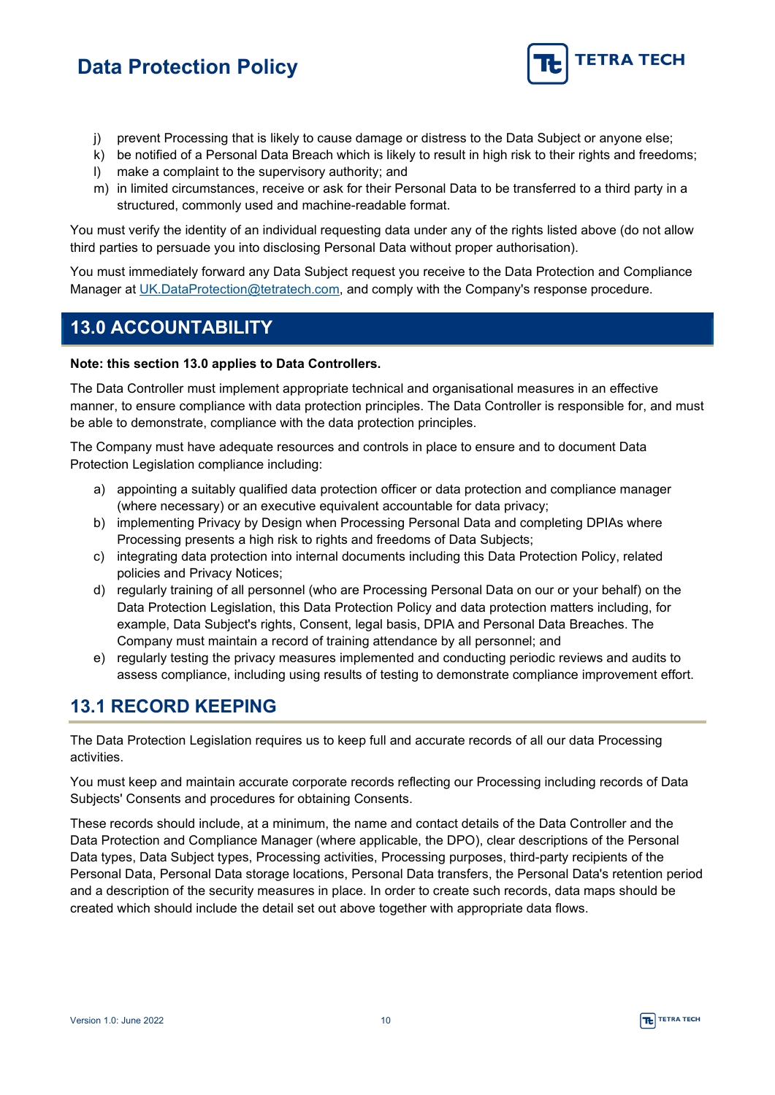

- i) prevent Processing that is likely to cause damage or distress to the Data Subject or anyone else;
- k) be notified of a Personal Data Breach which is likely to result in high risk to their rights and freedoms; l) make a complaint to the supervisory authority; and
- 
- m) in limited circumstances, receive or ask for their Personal Data to be transferred to a third party in a structured, commonly used and machine-readable format.

You must verify the identity of an individual requesting data under any of the rights listed above (do not allow third parties to persuade you into disclosing Personal Data without proper authorisation).

You must immediately forward any Data Subject request you receive to the Data Protection and Compliance Manager at [UK.DataProtection@tetratech.com,](mailto:UK.DataProtection@tetratech.com) and comply with the Company's response procedure.

### <span id="page-9-0"></span>**13.0 ACCOUNTABILITY**

#### **Note: this section [13.0](#page-9-0) applies to Data Controllers.**

The Data Controller must implement appropriate technical and organisational measures in an effective manner, to ensure compliance with data protection principles. The Data Controller is responsible for, and must be able to demonstrate, compliance with the data protection principles.

The Company must have adequate resources and controls in place to ensure and to document Data Protection Legislation compliance including:

- a) appointing a suitably qualified data protection officer or data protection and compliance manager (where necessary) or an executive equivalent accountable for data privacy;
- b) implementing Privacy by Design when Processing Personal Data and completing DPIAs where Processing presents a high risk to rights and freedoms of Data Subjects;
- c) integrating data protection into internal documents including this Data Protection Policy, related policies and Privacy Notices;
- d) regularly training of all personnel (who are Processing Personal Data on our or your behalf) on the Data Protection Legislation, this Data Protection Policy and data protection matters including, for example, Data Subject's rights, Consent, legal basis, DPIA and Personal Data Breaches. The Company must maintain a record of training attendance by all personnel; and
- e) regularly testing the privacy measures implemented and conducting periodic reviews and audits to assess compliance, including using results of testing to demonstrate compliance improvement effort.

#### <span id="page-9-1"></span>**13.1 RECORD KEEPING**

The Data Protection Legislation requires us to keep full and accurate records of all our data Processing activities.

You must keep and maintain accurate corporate records reflecting our Processing including records of Data Subjects' Consents and procedures for obtaining Consents.

These records should include, at a minimum, the name and contact details of the Data Controller and the Data Protection and Compliance Manager (where applicable, the DPO), clear descriptions of the Personal Data types, Data Subject types, Processing activities, Processing purposes, third-party recipients of the Personal Data, Personal Data storage locations, Personal Data transfers, the Personal Data's retention period and a description of the security measures in place. In order to create such records, data maps should be created which should include the detail set out above together with appropriate data flows.

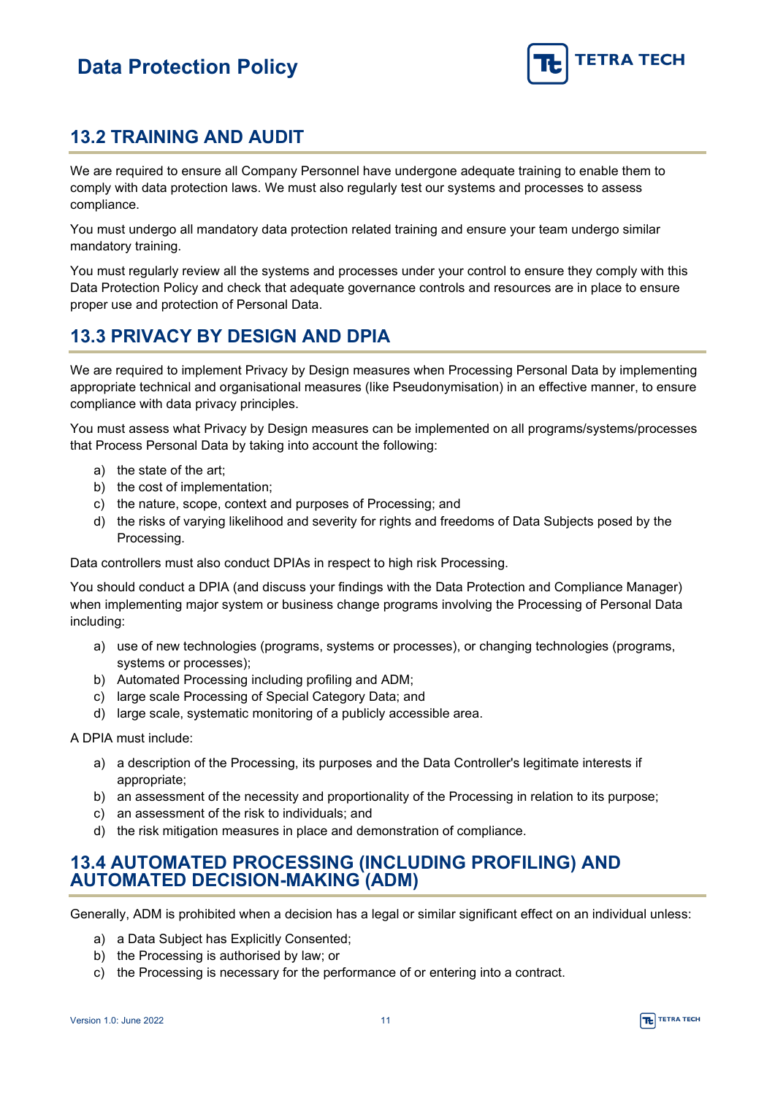

### <span id="page-10-0"></span>**13.2 TRAINING AND AUDIT**

We are required to ensure all Company Personnel have undergone adequate training to enable them to comply with data protection laws. We must also regularly test our systems and processes to assess compliance.

You must undergo all mandatory data protection related training and ensure your team undergo similar mandatory training.

You must regularly review all the systems and processes under your control to ensure they comply with this Data Protection Policy and check that adequate governance controls and resources are in place to ensure proper use and protection of Personal Data.

### <span id="page-10-1"></span>**13.3 PRIVACY BY DESIGN AND DPIA**

We are required to implement Privacy by Design measures when Processing Personal Data by implementing appropriate technical and organisational measures (like Pseudonymisation) in an effective manner, to ensure compliance with data privacy principles.

You must assess what Privacy by Design measures can be implemented on all programs/systems/processes that Process Personal Data by taking into account the following:

- a) the state of the art;
- b) the cost of implementation;
- c) the nature, scope, context and purposes of Processing; and
- d) the risks of varying likelihood and severity for rights and freedoms of Data Subjects posed by the Processing.

Data controllers must also conduct DPIAs in respect to high risk Processing.

You should conduct a DPIA (and discuss your findings with the Data Protection and Compliance Manager) when implementing major system or business change programs involving the Processing of Personal Data including:

- a) use of new technologies (programs, systems or processes), or changing technologies (programs, systems or processes);
- b) Automated Processing including profiling and ADM;
- c) large scale Processing of Special Category Data; and
- d) large scale, systematic monitoring of a publicly accessible area.

A DPIA must include:

- a) a description of the Processing, its purposes and the Data Controller's legitimate interests if appropriate;
- b) an assessment of the necessity and proportionality of the Processing in relation to its purpose;
- c) an assessment of the risk to individuals; and
- d) the risk mitigation measures in place and demonstration of compliance.

#### <span id="page-10-2"></span>**13.4 AUTOMATED PROCESSING (INCLUDING PROFILING) AND AUTOMATED DECISION-MAKING (ADM)**

Generally, ADM is prohibited when a decision has a legal or similar significant effect on an individual unless:

- a) a Data Subject has Explicitly Consented;
- b) the Processing is authorised by law; or
- c) the Processing is necessary for the performance of or entering into a contract.

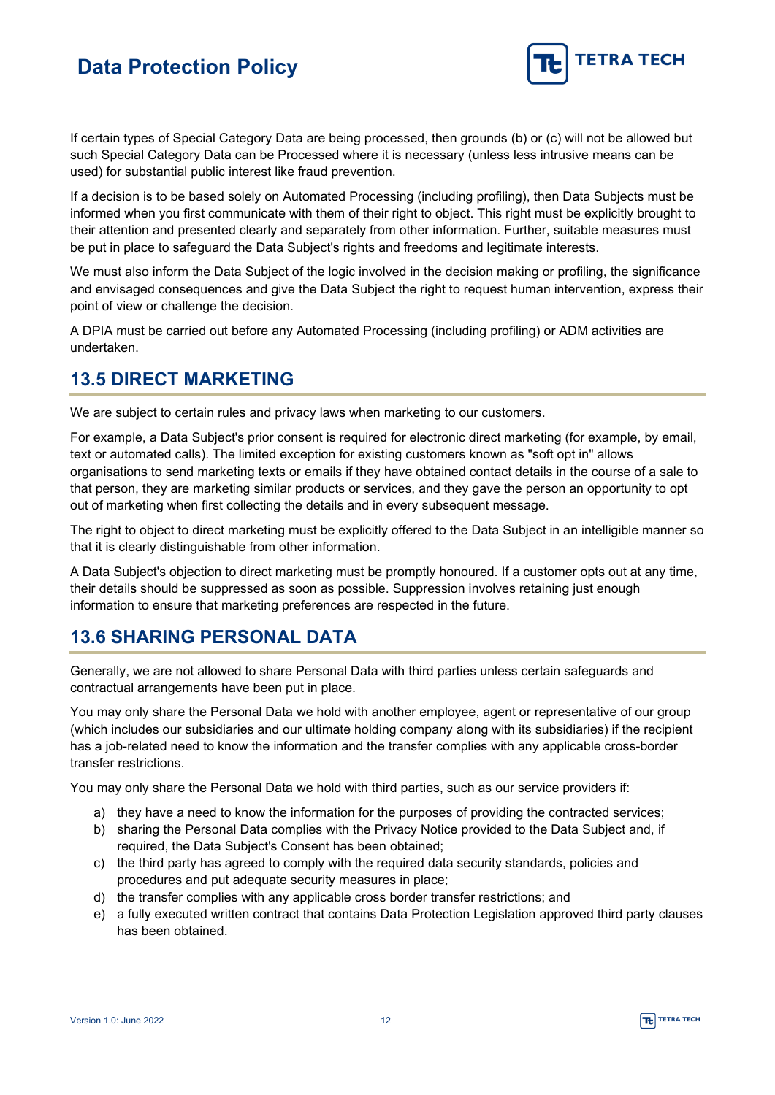

If certain types of Special Category Data are being processed, then grounds (b) or (c) will not be allowed but such Special Category Data can be Processed where it is necessary (unless less intrusive means can be used) for substantial public interest like fraud prevention.

If a decision is to be based solely on Automated Processing (including profiling), then Data Subjects must be informed when you first communicate with them of their right to object. This right must be explicitly brought to their attention and presented clearly and separately from other information. Further, suitable measures must be put in place to safeguard the Data Subject's rights and freedoms and legitimate interests.

We must also inform the Data Subject of the logic involved in the decision making or profiling, the significance and envisaged consequences and give the Data Subject the right to request human intervention, express their point of view or challenge the decision.

A DPIA must be carried out before any Automated Processing (including profiling) or ADM activities are undertaken.

#### <span id="page-11-0"></span>**13.5 DIRECT MARKETING**

We are subject to certain rules and privacy laws when marketing to our customers.

For example, a Data Subject's prior consent is required for electronic direct marketing (for example, by email, text or automated calls). The limited exception for existing customers known as "soft opt in" allows organisations to send marketing texts or emails if they have obtained contact details in the course of a sale to that person, they are marketing similar products or services, and they gave the person an opportunity to opt out of marketing when first collecting the details and in every subsequent message.

The right to object to direct marketing must be explicitly offered to the Data Subject in an intelligible manner so that it is clearly distinguishable from other information.

A Data Subject's objection to direct marketing must be promptly honoured. If a customer opts out at any time, their details should be suppressed as soon as possible. Suppression involves retaining just enough information to ensure that marketing preferences are respected in the future.

### <span id="page-11-1"></span>**13.6 SHARING PERSONAL DATA**

Generally, we are not allowed to share Personal Data with third parties unless certain safeguards and contractual arrangements have been put in place.

You may only share the Personal Data we hold with another employee, agent or representative of our group (which includes our subsidiaries and our ultimate holding company along with its subsidiaries) if the recipient has a job-related need to know the information and the transfer complies with any applicable cross-border transfer restrictions.

You may only share the Personal Data we hold with third parties, such as our service providers if:

- a) they have a need to know the information for the purposes of providing the contracted services;
- b) sharing the Personal Data complies with the Privacy Notice provided to the Data Subject and, if required, the Data Subject's Consent has been obtained;
- c) the third party has agreed to comply with the required data security standards, policies and procedures and put adequate security measures in place;
- d) the transfer complies with any applicable cross border transfer restrictions; and
- e) a fully executed written contract that contains Data Protection Legislation approved third party clauses has been obtained.